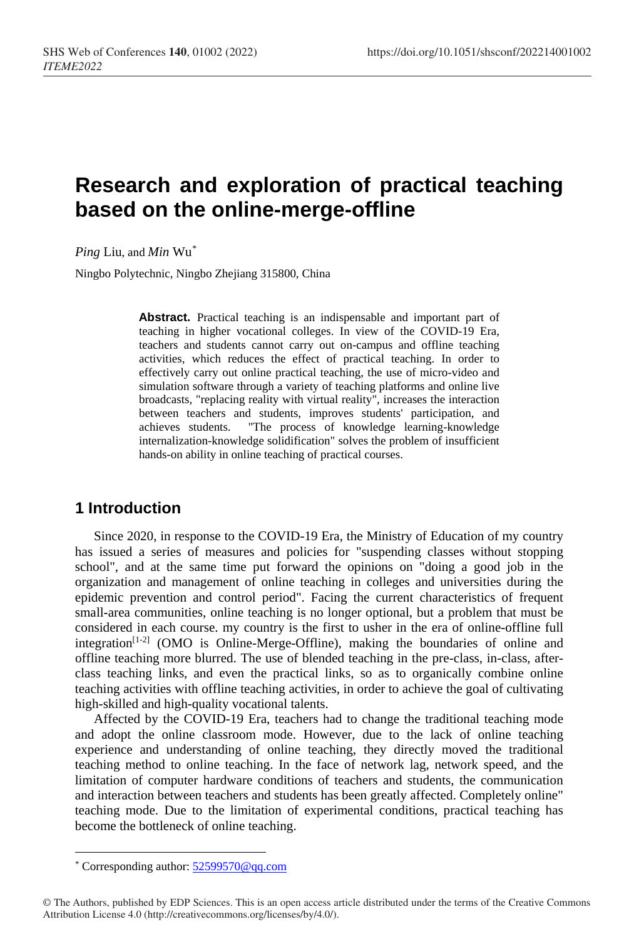# **Research and exploration of practical teaching based on the online-merge-offline**

*Ping* Liu, and *Min* Wu[\\*](#page-0-0)

Ningbo Polytechnic, Ningbo Zhejiang 315800, China

**Abstract.** Practical teaching is an indispensable and important part of teaching in higher vocational colleges. In view of the COVID-19 Era, teachers and students cannot carry out on-campus and offline teaching activities, which reduces the effect of practical teaching. In order to effectively carry out online practical teaching, the use of micro-video and simulation software through a variety of teaching platforms and online live broadcasts, "replacing reality with virtual reality", increases the interaction between teachers and students, improves students' participation, and achieves students. "The process of knowledge learning-knowledge internalization-knowledge solidification" solves the problem of insufficient hands-on ability in online teaching of practical courses.

# **1 Introduction**

Since 2020, in response to the COVID-19 Era, the Ministry of Education of my country has issued a series of measures and policies for "suspending classes without stopping school", and at the same time put forward the opinions on "doing a good job in the organization and management of online teaching in colleges and universities during the epidemic prevention and control period". Facing the current characteristics of frequent small-area communities, online teaching is no longer optional, but a problem that must be considered in each course. my country is the first to usher in the era of online-offline full integration<sup>[1-2]</sup> (OMO is Online-Merge-Offline), making the boundaries of online and offline teaching more blurred. The use of blended teaching in the pre-class, in-class, afterclass teaching links, and even the practical links, so as to organically combine online teaching activities with offline teaching activities, in order to achieve the goal of cultivating high-skilled and high-quality vocational talents.

Affected by the COVID-19 Era, teachers had to change the traditional teaching mode and adopt the online classroom mode. However, due to the lack of online teaching experience and understanding of online teaching, they directly moved the traditional teaching method to online teaching. In the face of network lag, network speed, and the limitation of computer hardware conditions of teachers and students, the communication and interaction between teachers and students has been greatly affected. Completely online" teaching mode. Due to the limitation of experimental conditions, practical teaching has become the bottleneck of online teaching.

<span id="page-0-0"></span> $\overline{a}$ \* Corresponding author: [52599570@qq.com](mailto:52599570@qq.com)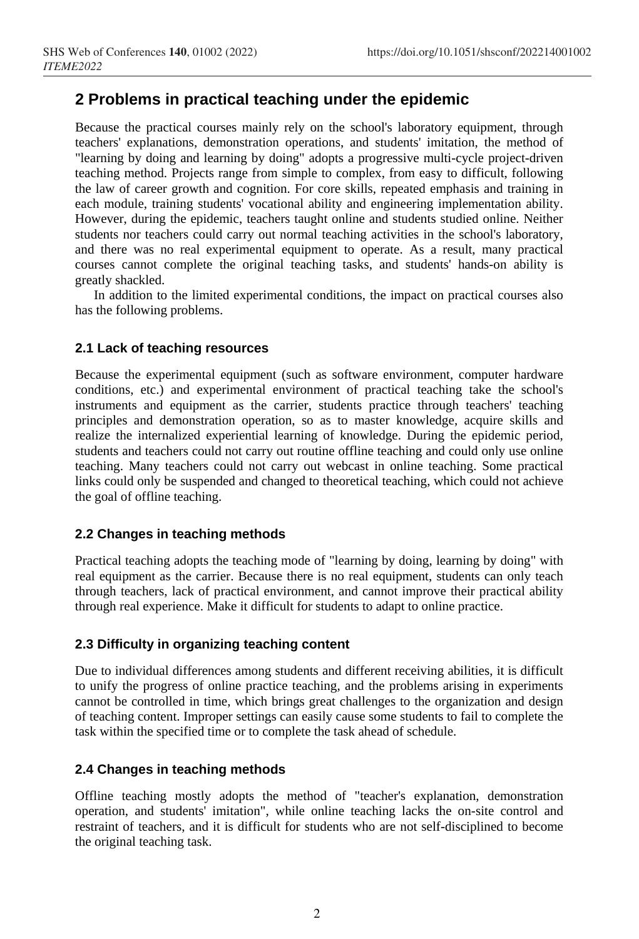# **2 Problems in practical teaching under the epidemic**

Because the practical courses mainly rely on the school's laboratory equipment, through teachers' explanations, demonstration operations, and students' imitation, the method of "learning by doing and learning by doing" adopts a progressive multi-cycle project-driven teaching method. Projects range from simple to complex, from easy to difficult, following the law of career growth and cognition. For core skills, repeated emphasis and training in each module, training students' vocational ability and engineering implementation ability. However, during the epidemic, teachers taught online and students studied online. Neither students nor teachers could carry out normal teaching activities in the school's laboratory, and there was no real experimental equipment to operate. As a result, many practical courses cannot complete the original teaching tasks, and students' hands-on ability is greatly shackled.

In addition to the limited experimental conditions, the impact on practical courses also has the following problems.

## **2.1 Lack of teaching resources**

Because the experimental equipment (such as software environment, computer hardware conditions, etc.) and experimental environment of practical teaching take the school's instruments and equipment as the carrier, students practice through teachers' teaching principles and demonstration operation, so as to master knowledge, acquire skills and realize the internalized experiential learning of knowledge. During the epidemic period, students and teachers could not carry out routine offline teaching and could only use online teaching. Many teachers could not carry out webcast in online teaching. Some practical links could only be suspended and changed to theoretical teaching, which could not achieve the goal of offline teaching.

## **2.2 Changes in teaching methods**

Practical teaching adopts the teaching mode of "learning by doing, learning by doing" with real equipment as the carrier. Because there is no real equipment, students can only teach through teachers, lack of practical environment, and cannot improve their practical ability through real experience. Make it difficult for students to adapt to online practice.

## **2.3 Difficulty in organizing teaching content**

Due to individual differences among students and different receiving abilities, it is difficult to unify the progress of online practice teaching, and the problems arising in experiments cannot be controlled in time, which brings great challenges to the organization and design of teaching content. Improper settings can easily cause some students to fail to complete the task within the specified time or to complete the task ahead of schedule.

## **2.4 Changes in teaching methods**

Offline teaching mostly adopts the method of "teacher's explanation, demonstration operation, and students' imitation", while online teaching lacks the on-site control and restraint of teachers, and it is difficult for students who are not self-disciplined to become the original teaching task.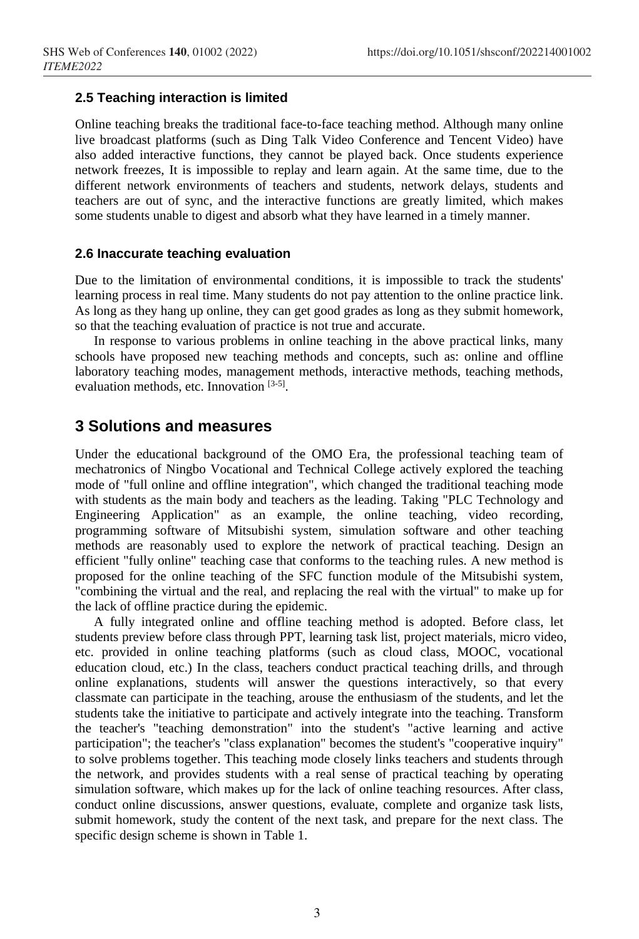## **2.5 Teaching interaction is limited**

Online teaching breaks the traditional face-to-face teaching method. Although many online live broadcast platforms (such as Ding Talk Video Conference and Tencent Video) have also added interactive functions, they cannot be played back. Once students experience network freezes, It is impossible to replay and learn again. At the same time, due to the different network environments of teachers and students, network delays, students and teachers are out of sync, and the interactive functions are greatly limited, which makes some students unable to digest and absorb what they have learned in a timely manner.

## **2.6 Inaccurate teaching evaluation**

Due to the limitation of environmental conditions, it is impossible to track the students' learning process in real time. Many students do not pay attention to the online practice link. As long as they hang up online, they can get good grades as long as they submit homework, so that the teaching evaluation of practice is not true and accurate.

In response to various problems in online teaching in the above practical links, many schools have proposed new teaching methods and concepts, such as: online and offline laboratory teaching modes, management methods, interactive methods, teaching methods, evaluation methods, etc. Innovation [3-5].

## **3 Solutions and measures**

Under the educational background of the OMO Era, the professional teaching team of mechatronics of Ningbo Vocational and Technical College actively explored the teaching mode of "full online and offline integration", which changed the traditional teaching mode with students as the main body and teachers as the leading. Taking "PLC Technology and Engineering Application" as an example, the online teaching, video recording, programming software of Mitsubishi system, simulation software and other teaching methods are reasonably used to explore the network of practical teaching. Design an efficient "fully online" teaching case that conforms to the teaching rules. A new method is proposed for the online teaching of the SFC function module of the Mitsubishi system, "combining the virtual and the real, and replacing the real with the virtual" to make up for the lack of offline practice during the epidemic.

A fully integrated online and offline teaching method is adopted. Before class, let students preview before class through PPT, learning task list, project materials, micro video, etc. provided in online teaching platforms (such as cloud class, MOOC, vocational education cloud, etc.) In the class, teachers conduct practical teaching drills, and through online explanations, students will answer the questions interactively, so that every classmate can participate in the teaching, arouse the enthusiasm of the students, and let the students take the initiative to participate and actively integrate into the teaching. Transform the teacher's "teaching demonstration" into the student's "active learning and active participation"; the teacher's "class explanation" becomes the student's "cooperative inquiry" to solve problems together. This teaching mode closely links teachers and students through the network, and provides students with a real sense of practical teaching by operating simulation software, which makes up for the lack of online teaching resources. After class, conduct online discussions, answer questions, evaluate, complete and organize task lists, submit homework, study the content of the next task, and prepare for the next class. The specific design scheme is shown in Table 1.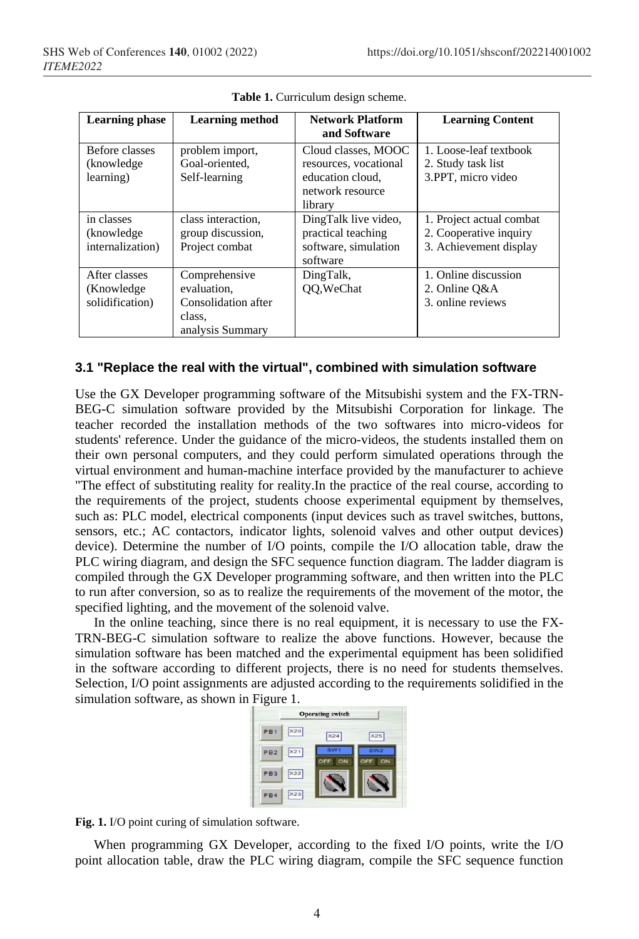| <b>Learning phase</b>                           | <b>Learning method</b>                                                            | <b>Network Platform</b><br>and Software                                                         | <b>Learning Content</b>                                                      |
|-------------------------------------------------|-----------------------------------------------------------------------------------|-------------------------------------------------------------------------------------------------|------------------------------------------------------------------------------|
| Before classes<br>(knowledge)<br>learning)      | problem import,<br>Goal-oriented.<br>Self-learning                                | Cloud classes, MOOC<br>resources, vocational<br>education cloud.<br>network resource<br>library | 1. Loose-leaf textbook<br>2. Study task list<br>3.PPT, micro video           |
| in classes<br>(knowledge)<br>internalization)   | class interaction.<br>group discussion,<br>Project combat                         | DingTalk live video,<br>practical teaching<br>software, simulation<br>software                  | 1. Project actual combat<br>2. Cooperative inquiry<br>3. Achievement display |
| After classes<br>(Knowledge)<br>solidification) | Comprehensive<br>evaluation.<br>Consolidation after<br>class.<br>analysis Summary | DingTalk,<br>QQ, WeChat                                                                         | 1. Online discussion<br>2. Online O&A<br>3. online reviews                   |

Table 1. Curriculum design scheme.

## **3.1 "Replace the real with the virtual", combined with simulation software**

Use the GX Developer programming software of the Mitsubishi system and the FX-TRN-BEG-C simulation software provided by the Mitsubishi Corporation for linkage. The teacher recorded the installation methods of the two softwares into micro-videos for students' reference. Under the guidance of the micro-videos, the students installed them on their own personal computers, and they could perform simulated operations through the virtual environment and human-machine interface provided by the manufacturer to achieve "The effect of substituting reality for reality.In the practice of the real course, according to the requirements of the project, students choose experimental equipment by themselves, such as: PLC model, electrical components (input devices such as travel switches, buttons, sensors, etc.; AC contactors, indicator lights, solenoid valves and other output devices) device). Determine the number of I/O points, compile the I/O allocation table, draw the PLC wiring diagram, and design the SFC sequence function diagram. The ladder diagram is compiled through the GX Developer programming software, and then written into the PLC to run after conversion, so as to realize the requirements of the movement of the motor, the specified lighting, and the movement of the solenoid valve.

In the online teaching, since there is no real equipment, it is necessary to use the FX-TRN-BEG-C simulation software to realize the above functions. However, because the simulation software has been matched and the experimental equipment has been solidified in the software according to different projects, there is no need for students themselves. Selection, I/O point assignments are adjusted according to the requirements solidified in the simulation software, as shown in Figure 1.



**Fig. 1.** I/O point curing of simulation software.

When programming GX Developer, according to the fixed I/O points, write the I/O point allocation table, draw the PLC wiring diagram, compile the SFC sequence function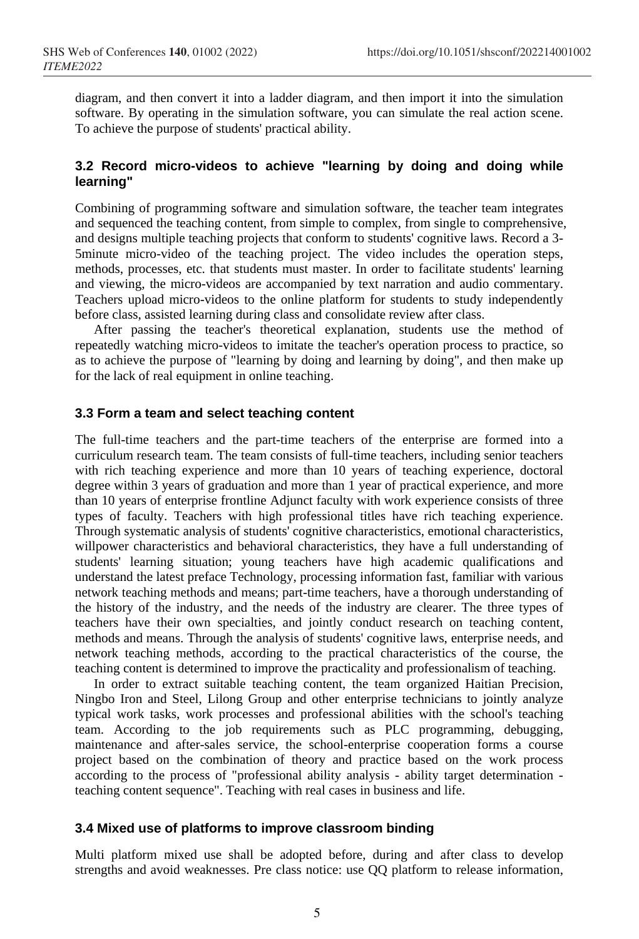diagram, and then convert it into a ladder diagram, and then import it into the simulation software. By operating in the simulation software, you can simulate the real action scene. To achieve the purpose of students' practical ability.

## **3.2 Record micro-videos to achieve "learning by doing and doing while learning"**

Combining of programming software and simulation software, the teacher team integrates and sequenced the teaching content, from simple to complex, from single to comprehensive, and designs multiple teaching projects that conform to students' cognitive laws. Record a 3- 5minute micro-video of the teaching project. The video includes the operation steps, methods, processes, etc. that students must master. In order to facilitate students' learning and viewing, the micro-videos are accompanied by text narration and audio commentary. Teachers upload micro-videos to the online platform for students to study independently before class, assisted learning during class and consolidate review after class.

After passing the teacher's theoretical explanation, students use the method of repeatedly watching micro-videos to imitate the teacher's operation process to practice, so as to achieve the purpose of "learning by doing and learning by doing", and then make up for the lack of real equipment in online teaching.

## **3.3 Form a team and select teaching content**

The full-time teachers and the part-time teachers of the enterprise are formed into a curriculum research team. The team consists of full-time teachers, including senior teachers with rich teaching experience and more than 10 years of teaching experience, doctoral degree within 3 years of graduation and more than 1 year of practical experience, and more than 10 years of enterprise frontline Adjunct faculty with work experience consists of three types of faculty. Teachers with high professional titles have rich teaching experience. Through systematic analysis of students' cognitive characteristics, emotional characteristics, willpower characteristics and behavioral characteristics, they have a full understanding of students' learning situation; young teachers have high academic qualifications and understand the latest preface Technology, processing information fast, familiar with various network teaching methods and means; part-time teachers, have a thorough understanding of the history of the industry, and the needs of the industry are clearer. The three types of teachers have their own specialties, and jointly conduct research on teaching content, methods and means. Through the analysis of students' cognitive laws, enterprise needs, and network teaching methods, according to the practical characteristics of the course, the teaching content is determined to improve the practicality and professionalism of teaching.

In order to extract suitable teaching content, the team organized Haitian Precision, Ningbo Iron and Steel, Lilong Group and other enterprise technicians to jointly analyze typical work tasks, work processes and professional abilities with the school's teaching team. According to the job requirements such as PLC programming, debugging, maintenance and after-sales service, the school-enterprise cooperation forms a course project based on the combination of theory and practice based on the work process according to the process of "professional ability analysis - ability target determination teaching content sequence". Teaching with real cases in business and life.

## **3.4 Mixed use of platforms to improve classroom binding**

Multi platform mixed use shall be adopted before, during and after class to develop strengths and avoid weaknesses. Pre class notice: use QQ platform to release information,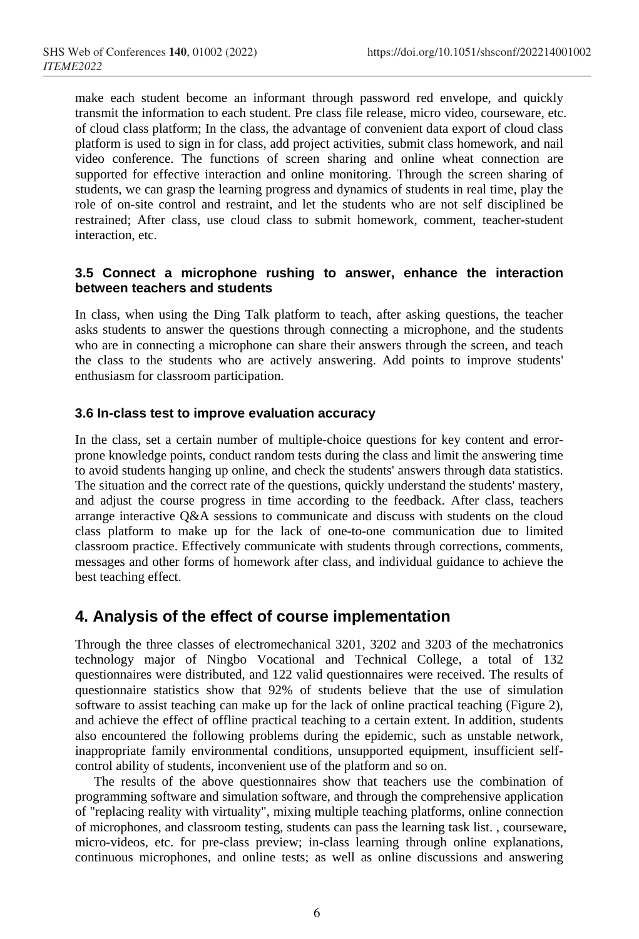make each student become an informant through password red envelope, and quickly transmit the information to each student. Pre class file release, micro video, courseware, etc. of cloud class platform; In the class, the advantage of convenient data export of cloud class platform is used to sign in for class, add project activities, submit class homework, and nail video conference. The functions of screen sharing and online wheat connection are supported for effective interaction and online monitoring. Through the screen sharing of students, we can grasp the learning progress and dynamics of students in real time, play the role of on-site control and restraint, and let the students who are not self disciplined be restrained; After class, use cloud class to submit homework, comment, teacher-student interaction, etc.

## **3.5 Connect a microphone rushing to answer, enhance the interaction between teachers and students**

In class, when using the Ding Talk platform to teach, after asking questions, the teacher asks students to answer the questions through connecting a microphone, and the students who are in connecting a microphone can share their answers through the screen, and teach the class to the students who are actively answering. Add points to improve students' enthusiasm for classroom participation.

## **3.6 In-class test to improve evaluation accuracy**

In the class, set a certain number of multiple-choice questions for key content and errorprone knowledge points, conduct random tests during the class and limit the answering time to avoid students hanging up online, and check the students' answers through data statistics. The situation and the correct rate of the questions, quickly understand the students' mastery, and adjust the course progress in time according to the feedback. After class, teachers arrange interactive Q&A sessions to communicate and discuss with students on the cloud class platform to make up for the lack of one-to-one communication due to limited classroom practice. Effectively communicate with students through corrections, comments, messages and other forms of homework after class, and individual guidance to achieve the best teaching effect.

# **4. Analysis of the effect of course implementation**

Through the three classes of electromechanical 3201, 3202 and 3203 of the mechatronics technology major of Ningbo Vocational and Technical College, a total of 132 questionnaires were distributed, and 122 valid questionnaires were received. The results of questionnaire statistics show that 92% of students believe that the use of simulation software to assist teaching can make up for the lack of online practical teaching (Figure 2), and achieve the effect of offline practical teaching to a certain extent. In addition, students also encountered the following problems during the epidemic, such as unstable network, inappropriate family environmental conditions, unsupported equipment, insufficient selfcontrol ability of students, inconvenient use of the platform and so on.

The results of the above questionnaires show that teachers use the combination of programming software and simulation software, and through the comprehensive application of "replacing reality with virtuality", mixing multiple teaching platforms, online connection of microphones, and classroom testing, students can pass the learning task list. , courseware, micro-videos, etc. for pre-class preview; in-class learning through online explanations, continuous microphones, and online tests; as well as online discussions and answering